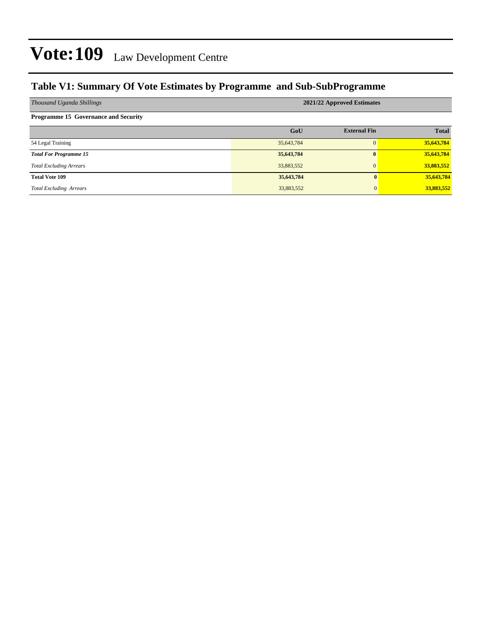### **Table V1: Summary Of Vote Estimates by Programme and Sub-SubProgramme**

| Thousand Uganda Shillings                   | 2021/22 Approved Estimates |                     |              |  |  |  |  |  |
|---------------------------------------------|----------------------------|---------------------|--------------|--|--|--|--|--|
| <b>Programme 15 Governance and Security</b> |                            |                     |              |  |  |  |  |  |
|                                             | GoU                        | <b>External Fin</b> | <b>Total</b> |  |  |  |  |  |
| 54 Legal Training                           | 35,643,784                 | $\Omega$            | 35,643,784   |  |  |  |  |  |
| <b>Total For Programme 15</b>               | 35,643,784                 | $\mathbf{0}$        | 35,643,784   |  |  |  |  |  |
| <b>Total Excluding Arrears</b>              | 33,883,552                 | 0                   | 33,883,552   |  |  |  |  |  |
| <b>Total Vote 109</b>                       | 35,643,784                 | $\mathbf{0}$        | 35,643,784   |  |  |  |  |  |
| <b>Total Excluding Arrears</b>              | 33,883,552                 | $\mathbf{0}$        | 33,883,552   |  |  |  |  |  |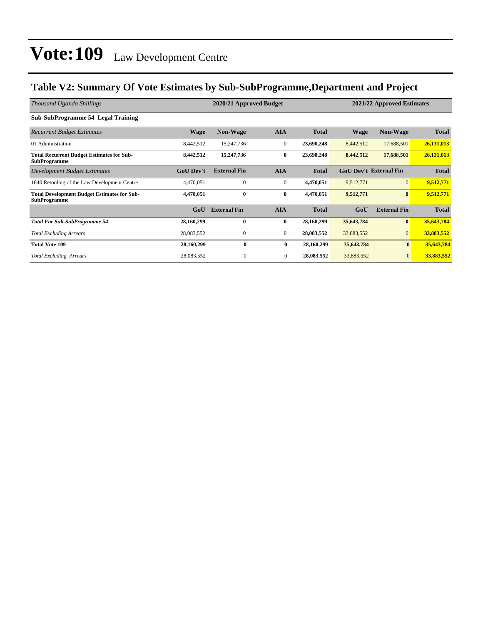### **Table V2: Summary Of Vote Estimates by Sub-SubProgramme,Department and Project**

| Thousand Uganda Shillings                                                 |                  | 2020/21 Approved Budget | 2021/22 Approved Estimates |              |             |                               |              |
|---------------------------------------------------------------------------|------------------|-------------------------|----------------------------|--------------|-------------|-------------------------------|--------------|
| <b>Sub-SubProgramme 54 Legal Training</b>                                 |                  |                         |                            |              |             |                               |              |
| <b>Recurrent Budget Estimates</b>                                         | <b>Wage</b>      | <b>Non-Wage</b>         | <b>AIA</b>                 | <b>Total</b> | <b>Wage</b> | <b>Non-Wage</b>               | <b>Total</b> |
| 01 Administration                                                         | 8,442,512        | 15,247,736              | $\mathbf{0}$               | 23,690,248   | 8,442,512   | 17,688,501                    | 26,131,013   |
| <b>Total Recurrent Budget Estimates for Sub-</b><br><b>SubProgramme</b>   | 8,442,512        | 15,247,736              | $\bf{0}$                   | 23,690,248   | 8,442,512   | 17,688,501                    | 26,131,013   |
| <b>Development Budget Estimates</b>                                       | <b>GoU</b> Dev't | <b>External Fin</b>     | <b>AIA</b>                 | <b>Total</b> |             | <b>GoU Dev't External Fin</b> | <b>Total</b> |
| 1640 Retooling of the Law Development Centre                              | 4,470,051        | $\Omega$                | $\mathbf{0}$               | 4,470,051    | 9,512,771   | $\overline{0}$                | 9,512,771    |
| <b>Total Development Budget Estimates for Sub-</b><br><b>SubProgramme</b> | 4,470,051        | $\bf{0}$                | $\bf{0}$                   | 4,470,051    | 9,512,771   | $\bf{0}$                      | 9,512,771    |
|                                                                           | GoU              | <b>External Fin</b>     | <b>AIA</b>                 | <b>Total</b> | GoU         | <b>External Fin</b>           | <b>Total</b> |
| <b>Total For Sub-SubProgramme 54</b>                                      | 28,160,299       | $\mathbf{0}$            | $\bf{0}$                   | 28,160,299   | 35,643,784  | $\bf{0}$                      | 35,643,784   |
| <b>Total Excluding Arrears</b>                                            | 28,083,552       | $\boldsymbol{0}$        | $\mathbf{0}$               | 28,083,552   | 33,883,552  | $\overline{0}$                | 33,883,552   |
| <b>Total Vote 109</b>                                                     | 28,160,299       | $\mathbf{0}$            | $\bf{0}$                   | 28,160,299   | 35,643,784  | $\mathbf{0}$                  | 35,643,784   |
| <b>Total Excluding Arrears</b>                                            | 28,083,552       | $\boldsymbol{0}$        | $\overline{0}$             | 28,083,552   | 33,883,552  | $\mathbf{0}$                  | 33,883,552   |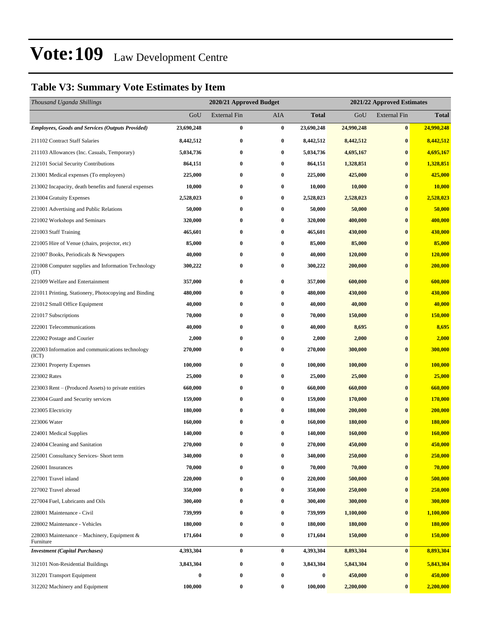### **Table V3: Summary Vote Estimates by Item**

| Thousand Uganda Shillings                                   |            | 2020/21 Approved Budget |          |              |            | 2021/22 Approved Estimates |                |  |  |
|-------------------------------------------------------------|------------|-------------------------|----------|--------------|------------|----------------------------|----------------|--|--|
|                                                             | GoU        | <b>External Fin</b>     | AIA      | <b>Total</b> | GoU        | <b>External Fin</b>        | <b>Total</b>   |  |  |
| <b>Employees, Goods and Services (Outputs Provided)</b>     | 23,690,248 | 0                       | $\bf{0}$ | 23,690,248   | 24,990,248 | $\bf{0}$                   | 24,990,248     |  |  |
| 211102 Contract Staff Salaries                              | 8,442,512  | 0                       | $\bf{0}$ | 8,442,512    | 8,442,512  | $\bf{0}$                   | 8,442,512      |  |  |
| 211103 Allowances (Inc. Casuals, Temporary)                 | 5,034,736  | 0                       | $\bf{0}$ | 5,034,736    | 4,695,167  | $\bf{0}$                   | 4,695,167      |  |  |
| 212101 Social Security Contributions                        | 864,151    | 0                       | $\bf{0}$ | 864,151      | 1,328,851  | $\bf{0}$                   | 1,328,851      |  |  |
| 213001 Medical expenses (To employees)                      | 225,000    | 0                       | $\bf{0}$ | 225,000      | 425,000    | $\bf{0}$                   | 425,000        |  |  |
| 213002 Incapacity, death benefits and funeral expenses      | 10,000     | 0                       | $\bf{0}$ | 10,000       | 10,000     | $\bf{0}$                   | 10,000         |  |  |
| 213004 Gratuity Expenses                                    | 2,528,023  | 0                       | $\bf{0}$ | 2,528,023    | 2,528,023  | $\bf{0}$                   | 2,528,023      |  |  |
| 221001 Advertising and Public Relations                     | 50,000     | 0                       | $\bf{0}$ | 50,000       | 50,000     | $\bf{0}$                   | 50,000         |  |  |
| 221002 Workshops and Seminars                               | 320,000    | 0                       | $\bf{0}$ | 320,000      | 400,000    | $\bf{0}$                   | 400,000        |  |  |
| 221003 Staff Training                                       | 465,601    | 0                       | $\bf{0}$ | 465,601      | 430,000    | $\bf{0}$                   | 430,000        |  |  |
| 221005 Hire of Venue (chairs, projector, etc)               | 85,000     | 0                       | $\bf{0}$ | 85,000       | 85,000     | $\bf{0}$                   | 85,000         |  |  |
| 221007 Books, Periodicals & Newspapers                      | 40,000     | 0                       | $\bf{0}$ | 40,000       | 120,000    | $\bf{0}$                   | 120,000        |  |  |
| 221008 Computer supplies and Information Technology<br>(TT) | 300,222    | 0                       | $\bf{0}$ | 300,222      | 200,000    | $\bf{0}$                   | <b>200,000</b> |  |  |
| 221009 Welfare and Entertainment                            | 357,000    | 0                       | $\bf{0}$ | 357,000      | 600,000    | $\bf{0}$                   | 600,000        |  |  |
| 221011 Printing, Stationery, Photocopying and Binding       | 480,000    | $\bf{0}$                | $\bf{0}$ | 480,000      | 430,000    | $\bf{0}$                   | 430,000        |  |  |
| 221012 Small Office Equipment                               | 40,000     | 0                       | $\bf{0}$ | 40,000       | 40,000     | $\bf{0}$                   | 40,000         |  |  |
| 221017 Subscriptions                                        | 70,000     | 0                       | $\bf{0}$ | 70,000       | 150,000    | $\bf{0}$                   | 150,000        |  |  |
| 222001 Telecommunications                                   | 40,000     | 0                       | $\bf{0}$ | 40,000       | 8,695      | $\bf{0}$                   | 8,695          |  |  |
| 222002 Postage and Courier                                  | 2,000      | 0                       | $\bf{0}$ | 2,000        | 2,000      | $\bf{0}$                   | 2,000          |  |  |
| 222003 Information and communications technology<br>(ICT)   | 270,000    | 0                       | $\bf{0}$ | 270,000      | 300,000    | $\bf{0}$                   | 300,000        |  |  |
| 223001 Property Expenses                                    | 100,000    | 0                       | $\bf{0}$ | 100,000      | 100,000    | $\bf{0}$                   | 100,000        |  |  |
| 223002 Rates                                                | 25,000     | 0                       | $\bf{0}$ | 25,000       | 25,000     | $\bf{0}$                   | 25,000         |  |  |
| 223003 Rent – (Produced Assets) to private entities         | 660,000    | $\bf{0}$                | $\bf{0}$ | 660,000      | 660,000    | $\bf{0}$                   | 660,000        |  |  |
| 223004 Guard and Security services                          | 159,000    | 0                       | $\bf{0}$ | 159,000      | 170,000    | $\bf{0}$                   | 170,000        |  |  |
| 223005 Electricity                                          | 180,000    | 0                       | $\bf{0}$ | 180,000      | 200,000    | $\bf{0}$                   | 200,000        |  |  |
| 223006 Water                                                | 160,000    | 0                       | $\bf{0}$ | 160,000      | 180,000    | $\bf{0}$                   | 180,000        |  |  |
| 224001 Medical Supplies                                     | 140,000    | 0                       | $\bf{0}$ | 140,000      | 160,000    | $\bf{0}$                   | 160,000        |  |  |
| 224004 Cleaning and Sanitation                              | 270,000    | 0                       | $\bf{0}$ | 270,000      | 450,000    | $\bf{0}$                   | 450,000        |  |  |
| 225001 Consultancy Services- Short term                     | 340,000    | 0                       | $\bf{0}$ | 340,000      | 250,000    | $\bf{0}$                   | 250,000        |  |  |
| 226001 Insurances                                           | 70,000     | 0                       | $\bf{0}$ | 70,000       | 70,000     | $\bf{0}$                   | 70,000         |  |  |
| 227001 Travel inland                                        | 220,000    | $\bf{0}$                | $\bf{0}$ | 220,000      | 500,000    | $\bf{0}$                   | 500,000        |  |  |
| 227002 Travel abroad                                        | 350,000    | 0                       | $\bf{0}$ | 350,000      | 250,000    | $\bf{0}$                   | 250,000        |  |  |
| 227004 Fuel, Lubricants and Oils                            | 300,400    | 0                       | $\bf{0}$ | 300,400      | 300,000    | $\bf{0}$                   | 300,000        |  |  |
| 228001 Maintenance - Civil                                  | 739,999    | 0                       | $\bf{0}$ | 739,999      | 1,100,000  | $\bf{0}$                   | 1,100,000      |  |  |
| 228002 Maintenance - Vehicles                               | 180,000    | 0                       | $\bf{0}$ | 180,000      | 180,000    | $\bf{0}$                   | 180,000        |  |  |
| 228003 Maintenance - Machinery, Equipment &<br>Furniture    | 171,604    | 0                       | $\bf{0}$ | 171,604      | 150,000    | $\bf{0}$                   | <b>150,000</b> |  |  |
| <b>Investment</b> (Capital Purchases)                       | 4,393,304  | $\bf{0}$                | $\bf{0}$ | 4,393,304    | 8,893,304  | $\bf{0}$                   | 8,893,304      |  |  |
| 312101 Non-Residential Buildings                            | 3,843,304  | 0                       | $\bf{0}$ | 3,843,304    | 5,843,304  | $\bf{0}$                   | 5,843,304      |  |  |
| 312201 Transport Equipment                                  | $\bf{0}$   | 0                       | $\bf{0}$ | 0            | 450,000    | $\bf{0}$                   | 450,000        |  |  |
| 312202 Machinery and Equipment                              | 100,000    | 0                       | $\bf{0}$ | 100,000      | 2,200,000  | $\bf{0}$                   | 2,200,000      |  |  |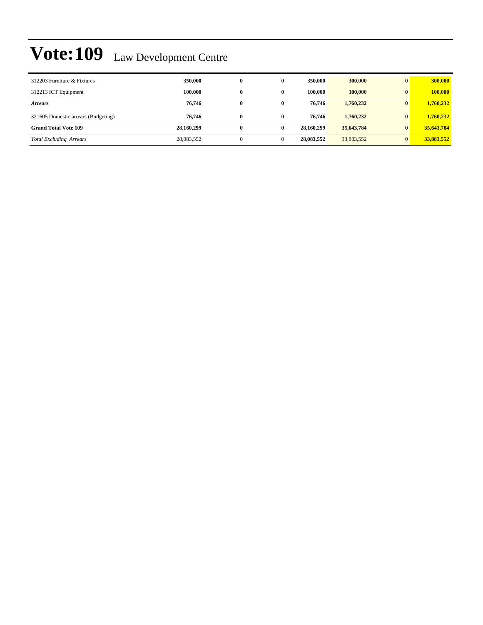| 312203 Furniture & Fixtures         | 350,000    | $\bf{0}$     | 0            | 350,000    | 300,000    | $\mathbf{0}$ | 300,000    |
|-------------------------------------|------------|--------------|--------------|------------|------------|--------------|------------|
| 312213 ICT Equipment                | 100.000    | 0            | 0            | 100.000    | 100,000    | $\mathbf{0}$ | 100,000    |
| <b>Arrears</b>                      | 76,746     | $\bf{0}$     | 0            | 76.746     | 1,760,232  | $\mathbf{0}$ | 1,760,232  |
| 321605 Domestic arrears (Budgeting) | 76.746     | $\bf{0}$     | $\mathbf{0}$ | 76.746     | 1,760,232  | $\mathbf{0}$ | 1.760.232  |
| <b>Grand Total Vote 109</b>         | 28,160,299 | $\bf{0}$     | $\bf{0}$     | 28.160.299 | 35,643,784 | $\bf{0}$     | 35,643,784 |
| <b>Total Excluding Arrears</b>      | 28,083,552 | $\mathbf{0}$ | $\mathbf{0}$ | 28,083,552 | 33,883,552 | $\Omega$     | 33,883,552 |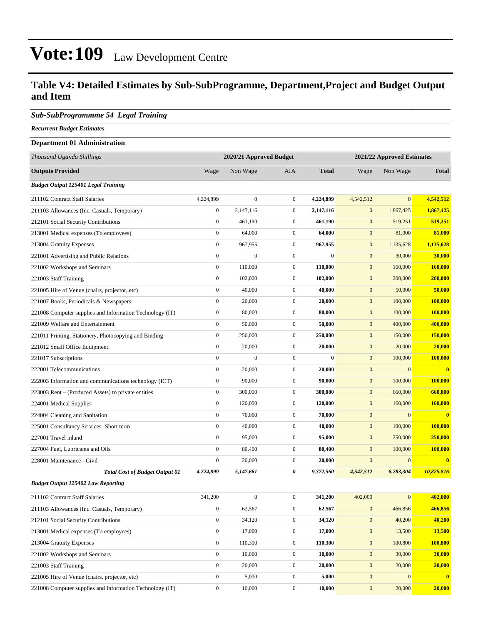#### **Table V4: Detailed Estimates by Sub-SubProgramme, Department,Project and Budget Output and Item**

#### *Sub-SubProgrammme 54 Legal Training*

*Recurrent Budget Estimates*

### **Department 01 Administration** *Thousand Uganda Shillings* **2020/21 Approved Budget 2021/22 Approved Estimates Outputs Provided** Wage Non Wage AIA **Total** Wage Non Wage **Total** *Budget Output 125401 Legal Training* 211102 Contract Staff Salaries 4,224,899 0 0 **4,224,899** 4,542,512 0 **4,542,512**

| 211103 Allowances (Inc. Casuals, Temporary)              | $\boldsymbol{0}$ | 2,147,116        | $\mathbf{0}$     | 2,147,116 | $\mathbf{0}$     | 1,867,425      | 1,867,425               |
|----------------------------------------------------------|------------------|------------------|------------------|-----------|------------------|----------------|-------------------------|
| 212101 Social Security Contributions                     | $\mathbf{0}$     | 461,190          | $\mathbf{0}$     | 461,190   | $\mathbf{0}$     | 519,251        | 519,251                 |
| 213001 Medical expenses (To employees)                   | $\boldsymbol{0}$ | 64,000           | $\overline{0}$   | 64,000    | $\mathbf{0}$     | 81,000         | 81,000                  |
| 213004 Gratuity Expenses                                 | $\boldsymbol{0}$ | 967,955          | $\overline{0}$   | 967,955   | $\mathbf{0}$     | 1,135,628      | 1,135,628               |
| 221001 Advertising and Public Relations                  | $\boldsymbol{0}$ | $\overline{0}$   | $\boldsymbol{0}$ | $\bf{0}$  | $\mathbf{0}$     | 30,000         | 30,000                  |
| 221002 Workshops and Seminars                            | $\boldsymbol{0}$ | 110,000          | $\overline{0}$   | 110,000   | $\mathbf{0}$     | 160,000        | 160,000                 |
| 221003 Staff Training                                    | $\boldsymbol{0}$ | 102,000          | $\overline{0}$   | 102,000   | $\mathbf{0}$     | 200,000        | 200,000                 |
| 221005 Hire of Venue (chairs, projector, etc)            | $\mathbf{0}$     | 40,000           | $\overline{0}$   | 40,000    | $\mathbf{0}$     | 50,000         | 50,000                  |
| 221007 Books, Periodicals & Newspapers                   | $\mathbf{0}$     | 20,000           | $\boldsymbol{0}$ | 20,000    | $\mathbf{0}$     | 100,000        | <b>100,000</b>          |
| 221008 Computer supplies and Information Technology (IT) | $\boldsymbol{0}$ | 80,000           | $\overline{0}$   | 80,000    | $\mathbf{0}$     | 100,000        | 100,000                 |
| 221009 Welfare and Entertainment                         | $\boldsymbol{0}$ | 50,000           | $\overline{0}$   | 50,000    | $\mathbf{0}$     | 400,000        | 400,000                 |
| 221011 Printing, Stationery, Photocopying and Binding    | $\boldsymbol{0}$ | 250,000          | $\boldsymbol{0}$ | 250,000   | $\mathbf{0}$     | 150,000        | 150,000                 |
| 221012 Small Office Equipment                            | $\boldsymbol{0}$ | 20,000           | $\overline{0}$   | 20,000    | $\mathbf{0}$     | 20,000         | 20,000                  |
| 221017 Subscriptions                                     | $\boldsymbol{0}$ | $\boldsymbol{0}$ | $\overline{0}$   | $\bf{0}$  | $\mathbf{0}$     | 100,000        | 100,000                 |
| 222001 Telecommunications                                | $\mathbf{0}$     | 20,000           | $\overline{0}$   | 20,000    | $\mathbf{0}$     | $\overline{0}$ | $\bf{0}$                |
| 222003 Information and communications technology (ICT)   | $\mathbf{0}$     | 90,000           | $\overline{0}$   | 90,000    | $\mathbf{0}$     | 100,000        | 100,000                 |
| 223003 Rent – (Produced Assets) to private entities      | $\boldsymbol{0}$ | 300,000          | $\boldsymbol{0}$ | 300,000   | $\mathbf{0}$     | 660,000        | 660,000                 |
| 224001 Medical Supplies                                  | $\boldsymbol{0}$ | 120,000          | $\overline{0}$   | 120,000   | $\mathbf{0}$     | 160,000        | 160,000                 |
| 224004 Cleaning and Sanitation                           | $\boldsymbol{0}$ | 70,000           | $\overline{0}$   | 70,000    | $\mathbf{0}$     | $\mathbf{0}$   | $\bf{0}$                |
| 225001 Consultancy Services- Short term                  | $\boldsymbol{0}$ | 40,000           | $\overline{0}$   | 40,000    | $\mathbf{0}$     | 100,000        | 100,000                 |
| 227001 Travel inland                                     | $\boldsymbol{0}$ | 95,000           | $\overline{0}$   | 95,000    | $\mathbf{0}$     | 250,000        | 250,000                 |
| 227004 Fuel, Lubricants and Oils                         | $\mathbf{0}$     | 80,400           | $\overline{0}$   | 80,400    | $\mathbf{0}$     | 100,000        | 100,000                 |
| 228001 Maintenance - Civil                               | $\mathbf{0}$     | 20,000           | $\overline{0}$   | 20,000    | $\overline{0}$   | $\overline{0}$ | $\bf{0}$                |
| <b>Total Cost of Budget Output 01</b>                    | 4,224,899        | 5,147,661        | 0                | 9,372,560 | 4,542,512        | 6,283,304      | 10,825,816              |
| <b>Budget Output 125402 Law Reporting</b>                |                  |                  |                  |           |                  |                |                         |
| 211102 Contract Staff Salaries                           | 341,200          | $\boldsymbol{0}$ | $\overline{0}$   | 341,200   | 402,000          | $\overline{0}$ | 402,000                 |
| 211103 Allowances (Inc. Casuals, Temporary)              | $\boldsymbol{0}$ | 62,567           | $\overline{0}$   | 62,567    | $\mathbf{0}$     | 466,856        | 466,856                 |
| 212101 Social Security Contributions                     | $\boldsymbol{0}$ | 34,120           | $\boldsymbol{0}$ | 34,120    | $\mathbf{0}$     | 40,200         | 40,200                  |
| 213001 Medical expenses (To employees)                   | $\boldsymbol{0}$ | 17,000           | $\overline{0}$   | 17,000    | $\mathbf{0}$     | 13,500         | 13,500                  |
| 213004 Gratuity Expenses                                 | $\boldsymbol{0}$ | 110,300          | $\overline{0}$   | 110,300   | $\boldsymbol{0}$ | 100,800        | 100,800                 |
| 221002 Workshops and Seminars                            | $\boldsymbol{0}$ | 10,000           | $\boldsymbol{0}$ | 10,000    | $\mathbf{0}$     | 30,000         | 30,000                  |
| 221003 Staff Training                                    | $\mathbf{0}$     | 20,000           | $\mathbf{0}$     | 20,000    | $\mathbf{0}$     | 20,000         | 20,000                  |
| 221005 Hire of Venue (chairs, projector, etc)            | $\Omega$         | 5,000            | $\Omega$         | 5,000     | $\overline{0}$   | $\overline{0}$ | $\overline{\mathbf{0}}$ |

221008 Computer supplies and Information Technology (IT) 0 10,000 0 **10,000** 0 20,000 **20,000**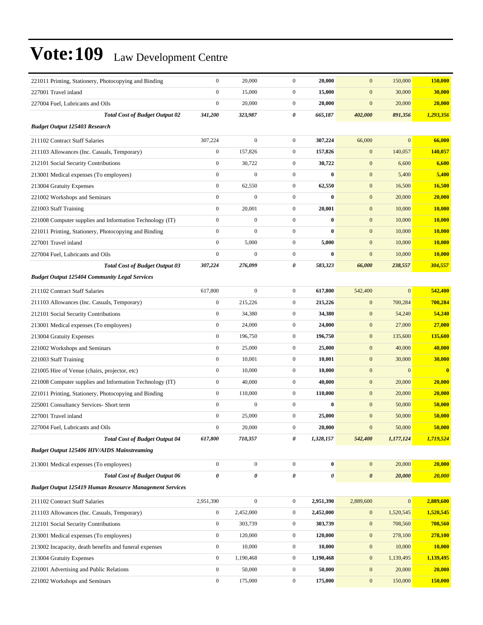| 221011 Printing, Stationery, Photocopying and Binding          | $\boldsymbol{0}$ | 20,000           | $\mathbf{0}$     | 20,000    | $\mathbf{0}$          | 150,000      | 150,000                 |
|----------------------------------------------------------------|------------------|------------------|------------------|-----------|-----------------------|--------------|-------------------------|
| 227001 Travel inland                                           | $\mathbf{0}$     | 15,000           | $\boldsymbol{0}$ | 15,000    | $\mathbf{0}$          | 30,000       | 30,000                  |
| 227004 Fuel, Lubricants and Oils                               | $\boldsymbol{0}$ | 20,000           | $\mathbf{0}$     | 20,000    | $\boldsymbol{0}$      | 20,000       | 20,000                  |
| <b>Total Cost of Budget Output 02</b>                          | 341,200          | 323,987          | 0                | 665,187   | 402,000               | 891,356      | 1,293,356               |
| <b>Budget Output 125403 Research</b>                           |                  |                  |                  |           |                       |              |                         |
| 211102 Contract Staff Salaries                                 | 307,224          | $\boldsymbol{0}$ | $\boldsymbol{0}$ | 307,224   | 66,000                | $\mathbf{0}$ | 66,000                  |
| 211103 Allowances (Inc. Casuals, Temporary)                    | $\boldsymbol{0}$ | 157,826          | $\mathbf{0}$     | 157,826   | $\mathbf{0}$          | 140,057      | 140,057                 |
| 212101 Social Security Contributions                           | $\mathbf{0}$     | 30,722           | $\boldsymbol{0}$ | 30,722    | $\mathbf{0}$          | 6,600        | 6,600                   |
| 213001 Medical expenses (To employees)                         | $\boldsymbol{0}$ | $\boldsymbol{0}$ | $\boldsymbol{0}$ | $\bf{0}$  | $\mathbf{0}$          | 5,400        | 5,400                   |
| 213004 Gratuity Expenses                                       | $\boldsymbol{0}$ | 62,550           | $\boldsymbol{0}$ | 62,550    | $\mathbf{0}$          | 16,500       | 16,500                  |
| 221002 Workshops and Seminars                                  | $\boldsymbol{0}$ | $\boldsymbol{0}$ | $\boldsymbol{0}$ | $\bf{0}$  | $\mathbf{0}$          | 20,000       | 20,000                  |
| 221003 Staff Training                                          | $\boldsymbol{0}$ | 20,001           | $\boldsymbol{0}$ | 20,001    | $\mathbf{0}$          | 10,000       | 10,000                  |
| 221008 Computer supplies and Information Technology (IT)       | $\mathbf{0}$     | $\boldsymbol{0}$ | $\boldsymbol{0}$ | $\bf{0}$  | $\mathbf{0}$          | 10,000       | <b>10,000</b>           |
| 221011 Printing, Stationery, Photocopying and Binding          | $\boldsymbol{0}$ | $\mathbf{0}$     | $\boldsymbol{0}$ | $\bf{0}$  | $\mathbf{0}$          | 10,000       | 10,000                  |
| 227001 Travel inland                                           | $\boldsymbol{0}$ | 5,000            | $\boldsymbol{0}$ | 5,000     | $\mathbf{0}$          | 10,000       | 10,000                  |
| 227004 Fuel, Lubricants and Oils                               | $\boldsymbol{0}$ | $\boldsymbol{0}$ | $\boldsymbol{0}$ | $\bf{0}$  | $\mathbf{0}$          | 10,000       | 10,000                  |
| <b>Total Cost of Budget Output 03</b>                          | 307,224          | 276,099          | 0                | 583,323   | 66,000                | 238,557      | 304,557                 |
| <b>Budget Output 125404 Community Legal Services</b>           |                  |                  |                  |           |                       |              |                         |
| 211102 Contract Staff Salaries                                 | 617,800          | $\boldsymbol{0}$ | $\boldsymbol{0}$ | 617,800   | 542,400               | $\mathbf{0}$ | 542,400                 |
| 211103 Allowances (Inc. Casuals, Temporary)                    | $\boldsymbol{0}$ | 215,226          | $\mathbf{0}$     | 215,226   | $\mathbf{0}$          | 700,284      | 700,284                 |
| 212101 Social Security Contributions                           | $\boldsymbol{0}$ | 34,380           | $\boldsymbol{0}$ | 34,380    | $\mathbf{0}$          | 54,240       | 54,240                  |
| 213001 Medical expenses (To employees)                         | $\boldsymbol{0}$ | 24,000           | $\boldsymbol{0}$ | 24,000    | $\mathbf{0}$          | 27,000       | 27,000                  |
| 213004 Gratuity Expenses                                       | $\boldsymbol{0}$ | 196,750          | $\boldsymbol{0}$ | 196,750   | $\mathbf{0}$          | 135,600      | 135,600                 |
| 221002 Workshops and Seminars                                  | $\boldsymbol{0}$ | 25,000           | $\boldsymbol{0}$ | 25,000    | $\mathbf{0}$          | 40,000       | 40,000                  |
| 221003 Staff Training                                          | $\boldsymbol{0}$ | 10,001           | $\mathbf{0}$     | 10,001    | $\mathbf{0}$          | 30,000       | 30,000                  |
| 221005 Hire of Venue (chairs, projector, etc)                  | $\boldsymbol{0}$ | 10,000           | $\boldsymbol{0}$ | 10,000    | $\mathbf{0}$          | $\mathbf{0}$ | $\overline{\mathbf{0}}$ |
| 221008 Computer supplies and Information Technology (IT)       | $\boldsymbol{0}$ | 40,000           | $\mathbf{0}$     | 40,000    | $\mathbf{0}$          | 20,000       | 20,000                  |
| 221011 Printing, Stationery, Photocopying and Binding          | $\boldsymbol{0}$ | 110,000          | $\boldsymbol{0}$ | 110,000   | $\mathbf{0}$          | 20,000       | 20,000                  |
| 225001 Consultancy Services- Short term                        | $\mathbf{0}$     | 0                | $\boldsymbol{0}$ | $\bf{0}$  | $\mathbf{0}$          | 50,000       | 50,000                  |
| 227001 Travel inland                                           | $\boldsymbol{0}$ | 25,000           | $\boldsymbol{0}$ | 25,000    | $\mathbf{0}$          | 50,000       | 50,000                  |
| 227004 Fuel, Lubricants and Oils                               | $\mathbf{0}$     | 20,000           | 0                | 20,000    | $\mathbf{0}$          | 50,000       | 50,000                  |
| <b>Total Cost of Budget Output 04</b>                          | 617,800          | 710,357          | 0                | 1,328,157 | 542,400               | 1,177,124    | 1,719,524               |
| <b>Budget Output 125406 HIV/AIDS Mainstreaming</b>             |                  |                  |                  |           |                       |              |                         |
| 213001 Medical expenses (To employees)                         | $\boldsymbol{0}$ | $\boldsymbol{0}$ | $\mathbf{0}$     | $\bf{0}$  | $\mathbf{0}$          | 20,000       | 20,000                  |
| <b>Total Cost of Budget Output 06</b>                          | $\pmb{\theta}$   | 0                | 0                | 0         | $\boldsymbol{\theta}$ | 20,000       | 20,000                  |
| <b>Budget Output 125419 Human Resource Management Services</b> |                  |                  |                  |           |                       |              |                         |
| 211102 Contract Staff Salaries                                 | 2,951,390        | $\boldsymbol{0}$ | $\boldsymbol{0}$ | 2,951,390 | 2,889,600             | $\mathbf{0}$ | 2,889,600               |
| 211103 Allowances (Inc. Casuals, Temporary)                    | $\boldsymbol{0}$ | 2,452,000        | 0                | 2,452,000 | $\mathbf{0}$          | 1,520,545    | 1,520,545               |
| 212101 Social Security Contributions                           | $\boldsymbol{0}$ | 303,739          | $\boldsymbol{0}$ | 303,739   | $\boldsymbol{0}$      | 708,560      | 708,560                 |
| 213001 Medical expenses (To employees)                         | $\boldsymbol{0}$ | 120,000          | $\boldsymbol{0}$ | 120,000   | $\mathbf{0}$          | 278,100      | 278,100                 |
| 213002 Incapacity, death benefits and funeral expenses         | $\boldsymbol{0}$ | 10,000           | $\boldsymbol{0}$ | 10,000    | $\boldsymbol{0}$      | 10,000       | <b>10,000</b>           |
| 213004 Gratuity Expenses                                       | $\boldsymbol{0}$ | 1,190,468        | $\boldsymbol{0}$ | 1,190,468 | $\boldsymbol{0}$      | 1,139,495    | 1,139,495               |
| 221001 Advertising and Public Relations                        | $\boldsymbol{0}$ | 50,000           | $\boldsymbol{0}$ | 50,000    | $\mathbf{0}$          | 20,000       | 20,000                  |
| 221002 Workshops and Seminars                                  | $\boldsymbol{0}$ | 175,000          | $\boldsymbol{0}$ | 175,000   | $\boldsymbol{0}$      | 150,000      | 150,000                 |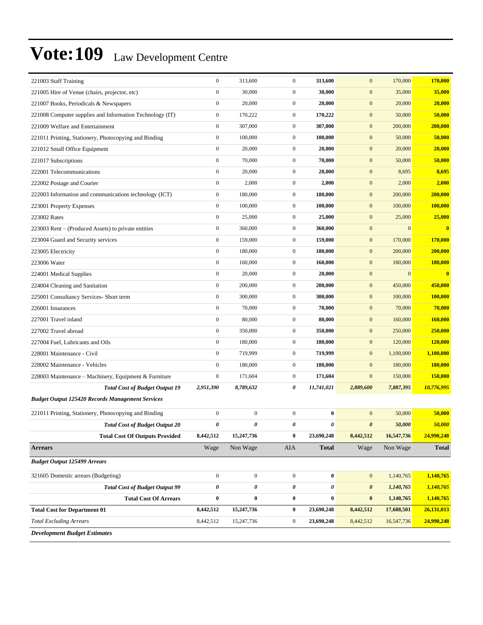| 221003 Staff Training                                    | $\boldsymbol{0}$      | 313,600               | $\boldsymbol{0}$ | 313,600      | $\mathbf{0}$          | 170,000      | 170,000                 |
|----------------------------------------------------------|-----------------------|-----------------------|------------------|--------------|-----------------------|--------------|-------------------------|
| 221005 Hire of Venue (chairs, projector, etc)            | $\boldsymbol{0}$      | 30,000                | $\boldsymbol{0}$ | 30,000       | $\mathbf{0}$          | 35,000       | 35,000                  |
| 221007 Books, Periodicals & Newspapers                   | $\boldsymbol{0}$      | 20,000                | $\boldsymbol{0}$ | 20,000       | $\mathbf{0}$          | 20,000       | 20,000                  |
| 221008 Computer supplies and Information Technology (IT) | $\boldsymbol{0}$      | 170,222               | $\boldsymbol{0}$ | 170,222      | $\mathbf{0}$          | 50,000       | 50,000                  |
| 221009 Welfare and Entertainment                         | $\boldsymbol{0}$      | 307,000               | $\boldsymbol{0}$ | 307,000      | $\boldsymbol{0}$      | 200,000      | 200,000                 |
| 221011 Printing, Stationery, Photocopying and Binding    | $\boldsymbol{0}$      | 100,000               | $\mathbf{0}$     | 100,000      | $\mathbf{0}$          | 50,000       | 50,000                  |
| 221012 Small Office Equipment                            | $\boldsymbol{0}$      | 20,000                | $\mathbf{0}$     | 20,000       | $\mathbf{0}$          | 20,000       | 20,000                  |
| 221017 Subscriptions                                     | $\boldsymbol{0}$      | 70,000                | $\boldsymbol{0}$ | 70,000       | $\mathbf{0}$          | 50,000       | 50,000                  |
| 222001 Telecommunications                                | $\boldsymbol{0}$      | 20,000                | $\boldsymbol{0}$ | 20,000       | $\mathbf{0}$          | 8,695        | 8,695                   |
| 222002 Postage and Courier                               | $\boldsymbol{0}$      | 2,000                 | $\boldsymbol{0}$ | 2,000        | $\boldsymbol{0}$      | 2,000        | 2,000                   |
| 222003 Information and communications technology (ICT)   | $\boldsymbol{0}$      | 180,000               | $\mathbf{0}$     | 180,000      | $\mathbf{0}$          | 200,000      | 200,000                 |
| 223001 Property Expenses                                 | $\boldsymbol{0}$      | 100,000               | $\boldsymbol{0}$ | 100,000      | $\mathbf{0}$          | 100,000      | <b>100,000</b>          |
| 223002 Rates                                             | $\boldsymbol{0}$      | 25,000                | $\boldsymbol{0}$ | 25,000       | $\mathbf{0}$          | 25,000       | 25,000                  |
| 223003 Rent – (Produced Assets) to private entities      | $\boldsymbol{0}$      | 360,000               | $\boldsymbol{0}$ | 360,000      | $\mathbf{0}$          | $\mathbf{0}$ | $\overline{\mathbf{0}}$ |
| 223004 Guard and Security services                       | $\boldsymbol{0}$      | 159,000               | $\boldsymbol{0}$ | 159,000      | $\mathbf{0}$          | 170,000      | 170,000                 |
| 223005 Electricity                                       | $\boldsymbol{0}$      | 180,000               | $\boldsymbol{0}$ | 180,000      | $\mathbf{0}$          | 200,000      | 200,000                 |
| 223006 Water                                             | $\boldsymbol{0}$      | 160,000               | $\boldsymbol{0}$ | 160,000      | $\mathbf{0}$          | 180,000      | <b>180,000</b>          |
| 224001 Medical Supplies                                  | $\boldsymbol{0}$      | 20,000                | $\boldsymbol{0}$ | 20,000       | $\mathbf{0}$          | $\mathbf{0}$ | $\overline{\mathbf{0}}$ |
| 224004 Cleaning and Sanitation                           | $\boldsymbol{0}$      | 200,000               | $\boldsymbol{0}$ | 200,000      | $\mathbf{0}$          | 450,000      | 450,000                 |
| 225001 Consultancy Services- Short term                  | $\boldsymbol{0}$      | 300,000               | $\overline{0}$   | 300,000      | $\mathbf{0}$          | 100,000      | 100,000                 |
| 226001 Insurances                                        | $\boldsymbol{0}$      | 70,000                | $\mathbf{0}$     | 70,000       | $\mathbf{0}$          | 70,000       | 70,000                  |
| 227001 Travel inland                                     | $\boldsymbol{0}$      | 80,000                | $\mathbf{0}$     | 80,000       | $\mathbf{0}$          | 160,000      | <b>160,000</b>          |
| 227002 Travel abroad                                     | $\boldsymbol{0}$      | 350,000               | $\boldsymbol{0}$ | 350,000      | $\mathbf{0}$          | 250,000      | 250,000                 |
| 227004 Fuel, Lubricants and Oils                         | $\boldsymbol{0}$      | 180,000               | $\boldsymbol{0}$ | 180,000      | $\mathbf{0}$          | 120,000      | 120,000                 |
| 228001 Maintenance - Civil                               | $\boldsymbol{0}$      | 719,999               | $\overline{0}$   | 719,999      | $\boldsymbol{0}$      | 1,100,000    | 1,100,000               |
| 228002 Maintenance - Vehicles                            | $\boldsymbol{0}$      | 180,000               | $\mathbf{0}$     | 180,000      | $\mathbf{0}$          | 180,000      | 180,000                 |
| 228003 Maintenance – Machinery, Equipment & Furniture    | $\boldsymbol{0}$      | 171,604               | $\mathbf{0}$     | 171,604      | $\mathbf{0}$          | 150,000      | 150,000                 |
| <b>Total Cost of Budget Output 19</b>                    | 2,951,390             | 8,789,632             | 0                | 11,741,021   | 2,889,600             | 7,887,395    | 10,776,995              |
| <b>Budget Output 125420 Records Management Services</b>  |                       |                       |                  |              |                       |              |                         |
| 221011 Printing, Stationery, Photocopying and Binding    | $\boldsymbol{0}$      | $\boldsymbol{0}$      | $\boldsymbol{0}$ | $\bf{0}$     | $\mathbf{0}$          | 50,000       | 50,000                  |
| <b>Total Cost of Budget Output 20</b>                    | 0                     | $\boldsymbol{\theta}$ | 0                | 0            | $\boldsymbol{\theta}$ | 50,000       | 50,000                  |
| <b>Total Cost Of Outputs Provided</b>                    | 8,442,512             | 15,247,736            | $\bf{0}$         | 23,690,248   | 8,442,512             | 16,547,736   | 24,990,248              |
| <b>Arrears</b>                                           | Wage                  | Non Wage              | AIA              | <b>Total</b> | Wage                  | Non Wage     | <b>Total</b>            |
| <b>Budget Output 125499 Arrears</b>                      |                       |                       |                  |              |                       |              |                         |
| 321605 Domestic arrears (Budgeting)                      | $\boldsymbol{0}$      | $\mathbf{0}$          | $\boldsymbol{0}$ | $\bf{0}$     | $\mathbf{0}$          | 1,140,765    | 1,140,765               |
| <b>Total Cost of Budget Output 99</b>                    | $\boldsymbol{\theta}$ | 0                     | 0                | 0            | $\boldsymbol{\theta}$ | 1,140,765    | 1,140,765               |
| <b>Total Cost Of Arrears</b>                             | $\pmb{0}$             | $\bf{0}$              | $\bf{0}$         | $\bf{0}$     | $\boldsymbol{0}$      | 1,140,765    | 1,140,765               |
| <b>Total Cost for Department 01</b>                      | 8,442,512             | 15,247,736            | $\bf{0}$         | 23,690,248   | 8,442,512             | 17,688,501   | 26,131,013              |
| <b>Total Excluding Arrears</b>                           | 8,442,512             | 15,247,736            | $\boldsymbol{0}$ | 23,690,248   | 8,442,512             | 16,547,736   | 24,990,248              |
| <b>Development Budget Estimates</b>                      |                       |                       |                  |              |                       |              |                         |